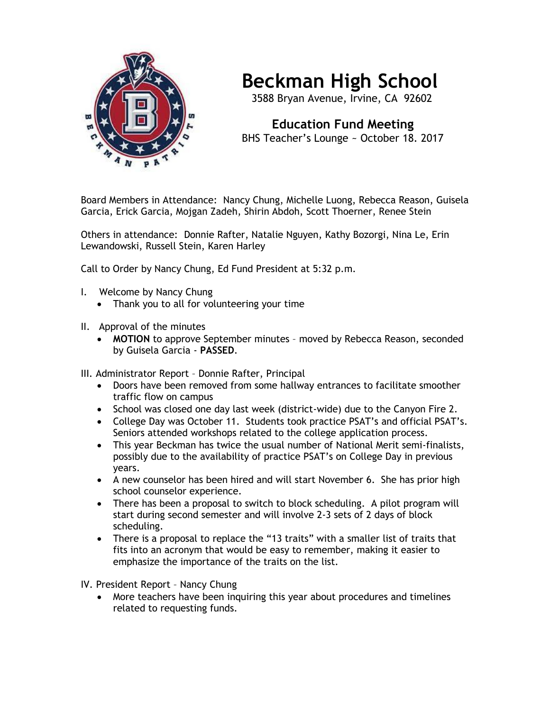

## **Beckman High School**

3588 Bryan Avenue, Irvine, CA 92602

 **Education Fund Meeting** BHS Teacher's Lounge ~ October 18. 2017

Board Members in Attendance: Nancy Chung, Michelle Luong, Rebecca Reason, Guisela Garcia, Erick Garcia, Mojgan Zadeh, Shirin Abdoh, Scott Thoerner, Renee Stein

Others in attendance: Donnie Rafter, Natalie Nguyen, Kathy Bozorgi, Nina Le, Erin Lewandowski, Russell Stein, Karen Harley

Call to Order by Nancy Chung, Ed Fund President at 5:32 p.m.

- I. Welcome by Nancy Chung
	- Thank you to all for volunteering your time
- II. Approval of the minutes
	- **MOTION** to approve September minutes moved by Rebecca Reason, seconded by Guisela Garcia - **PASSED**.

III. Administrator Report – Donnie Rafter, Principal

- Doors have been removed from some hallway entrances to facilitate smoother traffic flow on campus
- School was closed one day last week (district-wide) due to the Canyon Fire 2.
- College Day was October 11. Students took practice PSAT's and official PSAT's. Seniors attended workshops related to the college application process.
- This year Beckman has twice the usual number of National Merit semi-finalists, possibly due to the availability of practice PSAT's on College Day in previous years.
- A new counselor has been hired and will start November 6. She has prior high school counselor experience.
- There has been a proposal to switch to block scheduling. A pilot program will start during second semester and will involve 2-3 sets of 2 days of block scheduling.
- There is a proposal to replace the "13 traits" with a smaller list of traits that fits into an acronym that would be easy to remember, making it easier to emphasize the importance of the traits on the list.

IV. President Report – Nancy Chung

• More teachers have been inquiring this year about procedures and timelines related to requesting funds.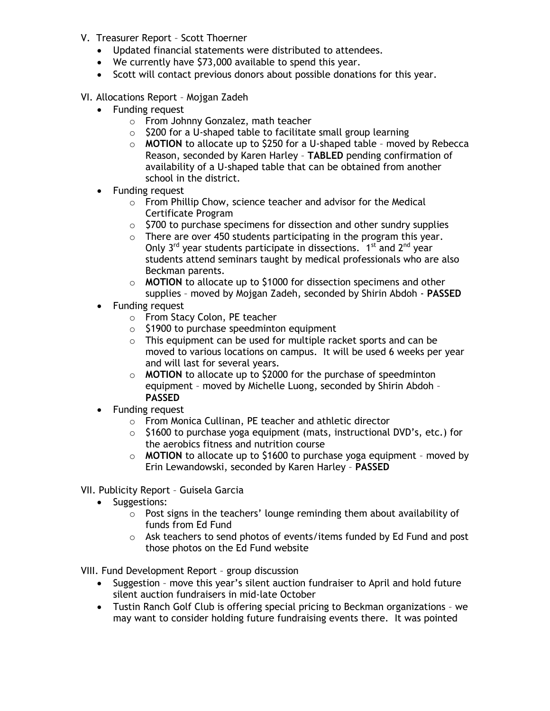- V. Treasurer Report Scott Thoerner
	- Updated financial statements were distributed to attendees.
	- We currently have \$73,000 available to spend this year.
	- Scott will contact previous donors about possible donations for this year.
- VI. Allocations Report Mojgan Zadeh
	- Funding request
		- o From Johnny Gonzalez, math teacher
		- $\circ$  \$200 for a U-shaped table to facilitate small group learning
		- o **MOTION** to allocate up to \$250 for a U-shaped table moved by Rebecca Reason, seconded by Karen Harley – **TABLED** pending confirmation of availability of a U-shaped table that can be obtained from another school in the district.
	- Funding request
		- o From Phillip Chow, science teacher and advisor for the Medical Certificate Program
		- $\circ$  \$700 to purchase specimens for dissection and other sundry supplies
		- $\circ$  There are over 450 students participating in the program this year. Only  $3^{rd}$  year students participate in dissections.  $1^{st}$  and  $2^{nd}$  year students attend seminars taught by medical professionals who are also Beckman parents.
		- o **MOTION** to allocate up to \$1000 for dissection specimens and other supplies – moved by Mojgan Zadeh, seconded by Shirin Abdoh - **PASSED**
	- Funding request
		- o From Stacy Colon, PE teacher
		- o \$1900 to purchase speedminton equipment
		- $\circ$  This equipment can be used for multiple racket sports and can be moved to various locations on campus. It will be used 6 weeks per year and will last for several years.
		- o **MOTION** to allocate up to \$2000 for the purchase of speedminton equipment – moved by Michelle Luong, seconded by Shirin Abdoh – **PASSED**
	- Funding request
		- o From Monica Cullinan, PE teacher and athletic director
		- $\circ$  \$1600 to purchase yoga equipment (mats, instructional DVD's, etc.) for the aerobics fitness and nutrition course
		- o **MOTION** to allocate up to \$1600 to purchase yoga equipment moved by Erin Lewandowski, seconded by Karen Harley – **PASSED**
- VII. Publicity Report Guisela Garcia
	- Suggestions:
		- o Post signs in the teachers' lounge reminding them about availability of funds from Ed Fund
		- $\circ$  Ask teachers to send photos of events/items funded by Ed Fund and post those photos on the Ed Fund website

VIII. Fund Development Report – group discussion

- Suggestion move this year's silent auction fundraiser to April and hold future silent auction fundraisers in mid-late October
- Tustin Ranch Golf Club is offering special pricing to Beckman organizations we may want to consider holding future fundraising events there. It was pointed